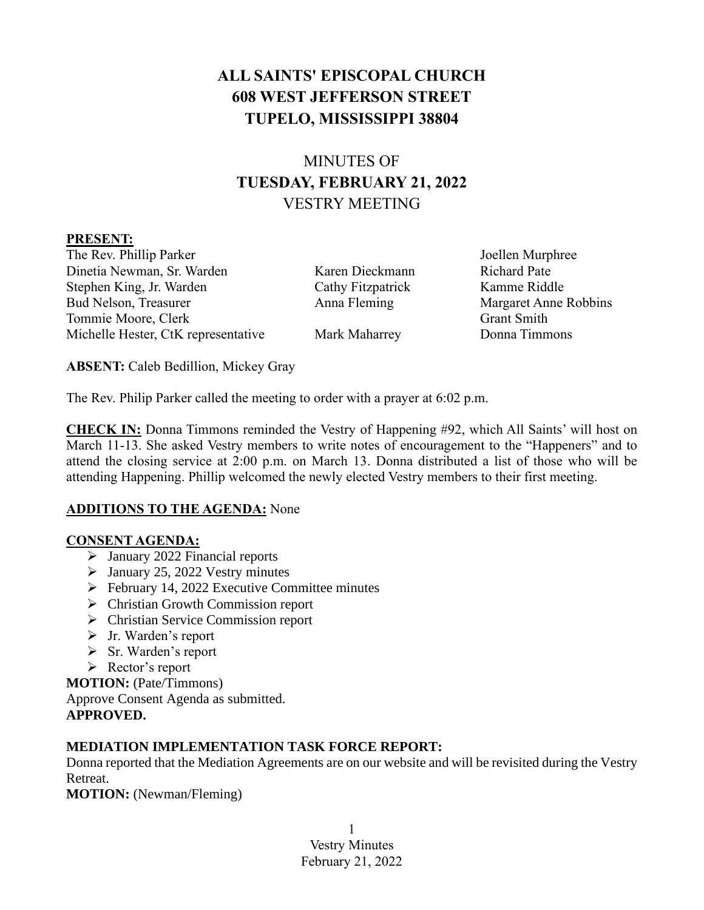# **ALL SAINTS' EPISCOPAL CHURCH 608 WEST JEFFERSON STREET TUPELO, MISSISSIPPI 38804**

# MINUTES OF **TUESDAY, FEBRUARY 21, 2022** VESTRY MEETING

#### **PRESENT:**

The Rev. Phillip Parker  $J$ oellen Murphree Dinetia Newman, Sr. Warden Karen Dieckmann Richard Pate Stephen King, Jr. Warden Cathy Fitzpatrick Kamme Riddle Bud Nelson, Treasurer Anna Fleming Margaret Anne Robbins Tommie Moore, Clerk Grant Smith Michelle Hester, CtK representative Mark Maharrey Donna Timmons

**ABSENT:** Caleb Bedillion, Mickey Gray

The Rev. Philip Parker called the meeting to order with a prayer at 6:02 p.m.

**CHECK IN:** Donna Timmons reminded the Vestry of Happening #92, which All Saints' will host on March 11-13. She asked Vestry members to write notes of encouragement to the "Happeners" and to attend the closing service at 2:00 p.m. on March 13. Donna distributed a list of those who will be attending Happening. Phillip welcomed the newly elected Vestry members to their first meeting.

#### **ADDITIONS TO THE AGENDA:** None

#### **CONSENT AGENDA:**

- ➢ January 2022 Financial reports
- ➢ January 25, 2022 Vestry minutes
- ➢ February 14, 2022 Executive Committee minutes
- ➢ Christian Growth Commission report
- ➢ Christian Service Commission report
- ➢ Jr. Warden's report
- ➢ Sr. Warden's report
- ➢ Rector's report

**MOTION:** (Pate/Timmons)

Approve Consent Agenda as submitted.

**APPROVED.**

## **MEDIATION IMPLEMENTATION TASK FORCE REPORT:**

Donna reported that the Mediation Agreements are on our website and will be revisited during the Vestry Retreat.

**MOTION:** (Newman/Fleming)

1 Vestry Minutes February 21, 2022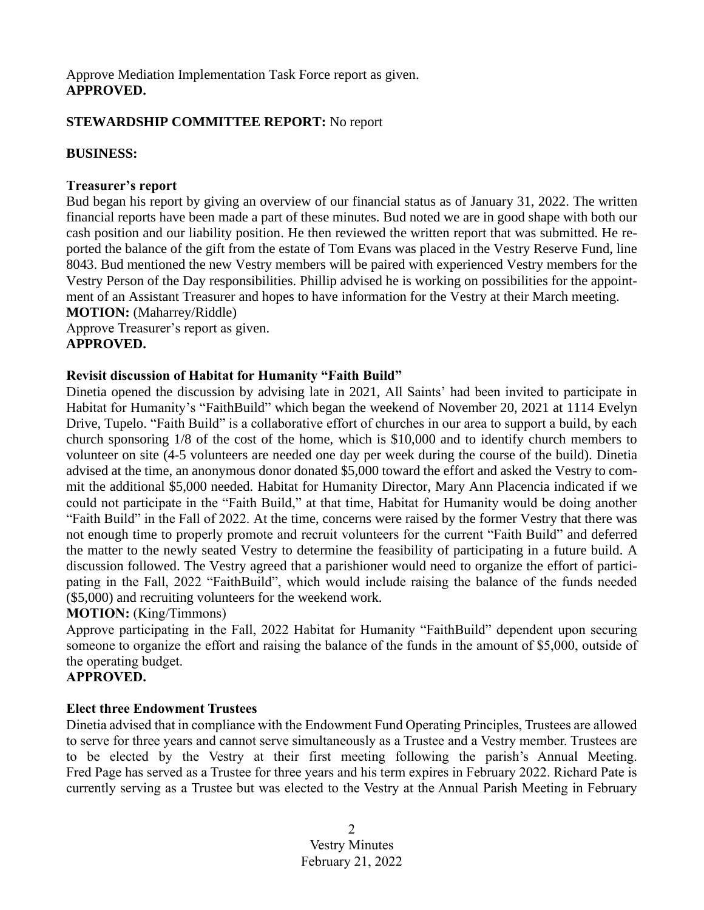#### Approve Mediation Implementation Task Force report as given. **APPROVED.**

#### **STEWARDSHIP COMMITTEE REPORT:** No report

#### **BUSINESS:**

#### **Treasurer's report**

Bud began his report by giving an overview of our financial status as of January 31, 2022. The written financial reports have been made a part of these minutes. Bud noted we are in good shape with both our cash position and our liability position. He then reviewed the written report that was submitted. He reported the balance of the gift from the estate of Tom Evans was placed in the Vestry Reserve Fund, line 8043. Bud mentioned the new Vestry members will be paired with experienced Vestry members for the Vestry Person of the Day responsibilities. Phillip advised he is working on possibilities for the appointment of an Assistant Treasurer and hopes to have information for the Vestry at their March meeting. **MOTION:** (Maharrey/Riddle)

Approve Treasurer's report as given.

### **APPROVED.**

#### **Revisit discussion of Habitat for Humanity "Faith Build"**

Dinetia opened the discussion by advising late in 2021, All Saints' had been invited to participate in Habitat for Humanity's "FaithBuild" which began the weekend of November 20, 2021 at 1114 Evelyn Drive, Tupelo. "Faith Build" is a collaborative effort of churches in our area to support a build, by each church sponsoring 1/8 of the cost of the home, which is \$10,000 and to identify church members to volunteer on site (4-5 volunteers are needed one day per week during the course of the build). Dinetia advised at the time, an anonymous donor donated \$5,000 toward the effort and asked the Vestry to commit the additional \$5,000 needed. Habitat for Humanity Director, Mary Ann Placencia indicated if we could not participate in the "Faith Build," at that time, Habitat for Humanity would be doing another "Faith Build" in the Fall of 2022. At the time, concerns were raised by the former Vestry that there was not enough time to properly promote and recruit volunteers for the current "Faith Build" and deferred the matter to the newly seated Vestry to determine the feasibility of participating in a future build. A discussion followed. The Vestry agreed that a parishioner would need to organize the effort of participating in the Fall, 2022 "FaithBuild", which would include raising the balance of the funds needed (\$5,000) and recruiting volunteers for the weekend work.

#### **MOTION:** (King/Timmons)

Approve participating in the Fall, 2022 Habitat for Humanity "FaithBuild" dependent upon securing someone to organize the effort and raising the balance of the funds in the amount of \$5,000, outside of the operating budget.

#### **APPROVED.**

#### **Elect three Endowment Trustees**

Dinetia advised that in compliance with the Endowment Fund Operating Principles, Trustees are allowed to serve for three years and cannot serve simultaneously as a Trustee and a Vestry member. Trustees are to be elected by the Vestry at their first meeting following the parish's Annual Meeting. Fred Page has served as a Trustee for three years and his term expires in February 2022. Richard Pate is currently serving as a Trustee but was elected to the Vestry at the Annual Parish Meeting in February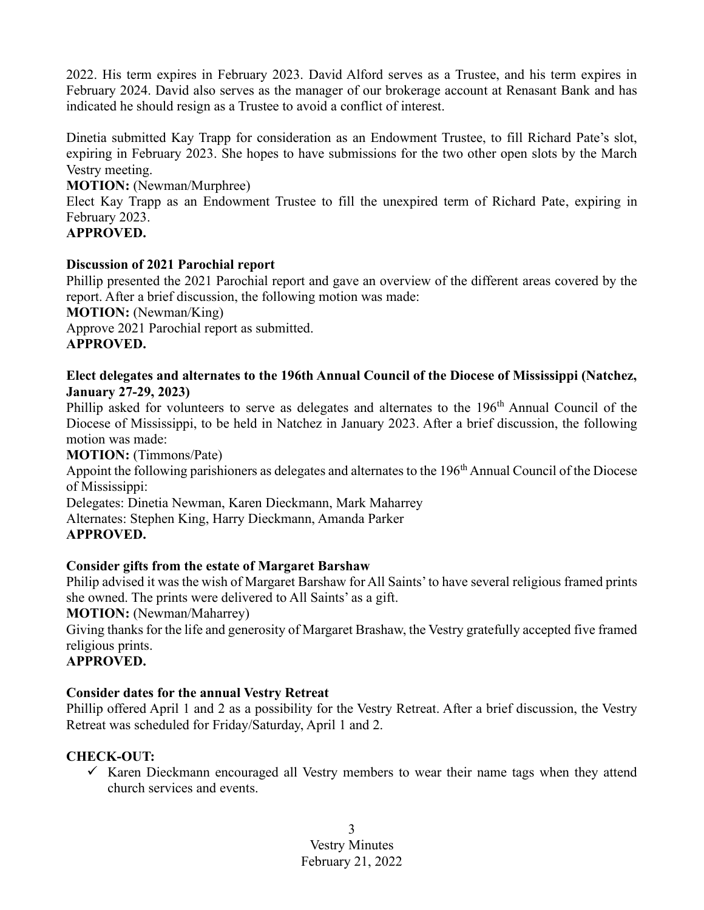2022. His term expires in February 2023. David Alford serves as a Trustee, and his term expires in February 2024. David also serves as the manager of our brokerage account at Renasant Bank and has indicated he should resign as a Trustee to avoid a conflict of interest.

Dinetia submitted Kay Trapp for consideration as an Endowment Trustee, to fill Richard Pate's slot, expiring in February 2023. She hopes to have submissions for the two other open slots by the March Vestry meeting.

#### **MOTION:** (Newman/Murphree)

Elect Kay Trapp as an Endowment Trustee to fill the unexpired term of Richard Pate, expiring in February 2023.

### **APPROVED.**

#### **Discussion of 2021 Parochial report**

Phillip presented the 2021 Parochial report and gave an overview of the different areas covered by the report. After a brief discussion, the following motion was made:

**MOTION:** (Newman/King)

Approve 2021 Parochial report as submitted.

## **APPROVED.**

### **Elect delegates and alternates to the 196th Annual Council of the Diocese of Mississippi (Natchez, January 27-29, 2023)**

Phillip asked for volunteers to serve as delegates and alternates to the 196<sup>th</sup> Annual Council of the Diocese of Mississippi, to be held in Natchez in January 2023. After a brief discussion, the following motion was made:

#### **MOTION:** (Timmons/Pate)

Appoint the following parishioners as delegates and alternates to the 196<sup>th</sup> Annual Council of the Diocese of Mississippi:

Delegates: Dinetia Newman, Karen Dieckmann, Mark Maharrey

Alternates: Stephen King, Harry Dieckmann, Amanda Parker

#### **APPROVED.**

## **Consider gifts from the estate of Margaret Barshaw**

Philip advised it was the wish of Margaret Barshaw for All Saints' to have several religious framed prints she owned. The prints were delivered to All Saints' as a gift.

**MOTION:** (Newman/Maharrey)

Giving thanks for the life and generosity of Margaret Brashaw, the Vestry gratefully accepted five framed religious prints.

## **APPROVED.**

## **Consider dates for the annual Vestry Retreat**

Phillip offered April 1 and 2 as a possibility for the Vestry Retreat. After a brief discussion, the Vestry Retreat was scheduled for Friday/Saturday, April 1 and 2.

## **CHECK-OUT:**

 $\checkmark$  Karen Dieckmann encouraged all Vestry members to wear their name tags when they attend church services and events.